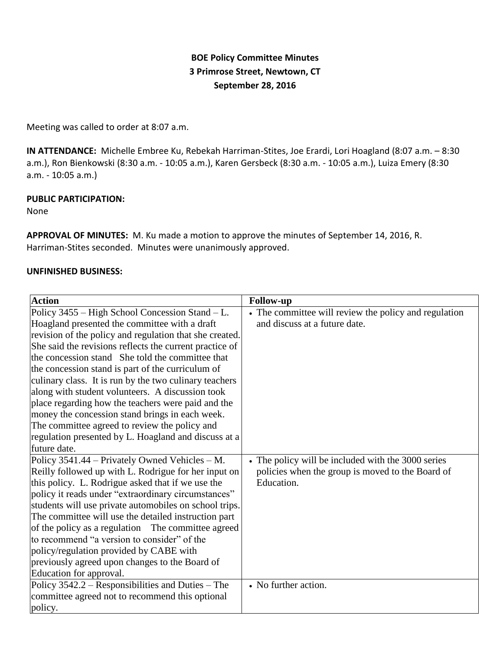# **BOE Policy Committee Minutes 3 Primrose Street, Newtown, CT September 28, 2016**

Meeting was called to order at 8:07 a.m.

**IN ATTENDANCE:** Michelle Embree Ku, Rebekah Harriman-Stites, Joe Erardi, Lori Hoagland (8:07 a.m. – 8:30 a.m.), Ron Bienkowski (8:30 a.m. - 10:05 a.m.), Karen Gersbeck (8:30 a.m. - 10:05 a.m.), Luiza Emery (8:30 a.m. - 10:05 a.m.)

### **PUBLIC PARTICIPATION:**

None

**APPROVAL OF MINUTES:** M. Ku made a motion to approve the minutes of September 14, 2016, R. Harriman-Stites seconded. Minutes were unanimously approved.

## **UNFINISHED BUSINESS:**

| <b>Action</b>                                           | <b>Follow-up</b>                                      |
|---------------------------------------------------------|-------------------------------------------------------|
| Policy 3455 – High School Concession Stand – L.         | • The committee will review the policy and regulation |
| Hoagland presented the committee with a draft           | and discuss at a future date.                         |
| revision of the policy and regulation that she created. |                                                       |
| She said the revisions reflects the current practice of |                                                       |
| the concession stand She told the committee that        |                                                       |
| the concession stand is part of the curriculum of       |                                                       |
| culinary class. It is run by the two culinary teachers  |                                                       |
| along with student volunteers. A discussion took        |                                                       |
| place regarding how the teachers were paid and the      |                                                       |
| money the concession stand brings in each week.         |                                                       |
| The committee agreed to review the policy and           |                                                       |
| regulation presented by L. Hoagland and discuss at a    |                                                       |
| future date.                                            |                                                       |
| Policy 3541.44 – Privately Owned Vehicles – M.          | • The policy will be included with the 3000 series    |
| Reilly followed up with L. Rodrigue for her input on    | policies when the group is moved to the Board of      |
| this policy. L. Rodrigue asked that if we use the       | Education.                                            |
| policy it reads under "extraordinary circumstances"     |                                                       |
| students will use private automobiles on school trips.  |                                                       |
| The committee will use the detailed instruction part    |                                                       |
| of the policy as a regulation The committee agreed      |                                                       |
| to recommend "a version to consider" of the             |                                                       |
| policy/regulation provided by CABE with                 |                                                       |
| previously agreed upon changes to the Board of          |                                                       |
| Education for approval.                                 |                                                       |
| Policy 3542.2 – Responsibilities and Duties – The       | • No further action.                                  |
| committee agreed not to recommend this optional         |                                                       |
| policy.                                                 |                                                       |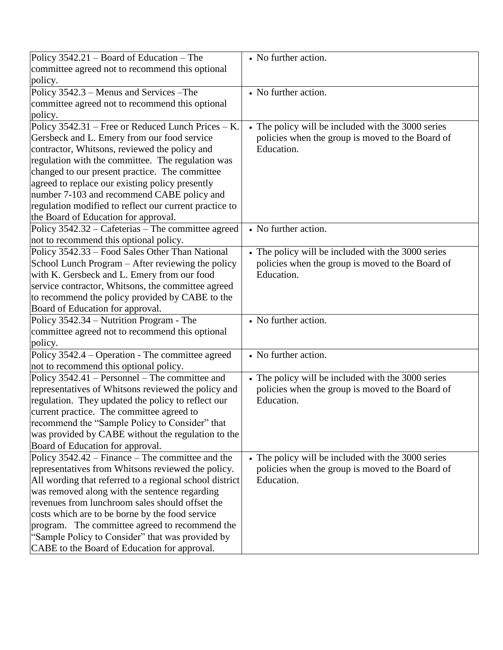| Policy $3542.21$ – Board of Education – The             | • No further action.                               |
|---------------------------------------------------------|----------------------------------------------------|
| committee agreed not to recommend this optional         |                                                    |
| policy.                                                 |                                                    |
| Policy 3542.3 - Menus and Services - The                | • No further action.                               |
| committee agreed not to recommend this optional         |                                                    |
| policy.                                                 |                                                    |
| Policy 3542.31 - Free or Reduced Lunch Prices - K.      | • The policy will be included with the 3000 series |
| Gersbeck and L. Emery from our food service             | policies when the group is moved to the Board of   |
| contractor, Whitsons, reviewed the policy and           | Education.                                         |
| regulation with the committee. The regulation was       |                                                    |
| changed to our present practice. The committee          |                                                    |
| agreed to replace our existing policy presently         |                                                    |
| number 7-103 and recommend CABE policy and              |                                                    |
| regulation modified to reflect our current practice to  |                                                    |
| the Board of Education for approval.                    |                                                    |
| Policy 3542.32 - Cafeterias - The committee agreed      | • No further action.                               |
| not to recommend this optional policy.                  |                                                    |
| Policy 3542.33 – Food Sales Other Than National         | • The policy will be included with the 3000 series |
| School Lunch Program – After reviewing the policy       | policies when the group is moved to the Board of   |
| with K. Gersbeck and L. Emery from our food             | Education.                                         |
| service contractor, Whitsons, the committee agreed      |                                                    |
| to recommend the policy provided by CABE to the         |                                                    |
| Board of Education for approval.                        |                                                    |
| Policy 3542.34 – Nutrition Program - The                | • No further action.                               |
| committee agreed not to recommend this optional         |                                                    |
| policy.                                                 |                                                    |
| Policy 3542.4 – Operation - The committee agreed        | • No further action.                               |
| not to recommend this optional policy.                  |                                                    |
| Policy 3542.41 – Personnel – The committee and          | • The policy will be included with the 3000 series |
| representatives of Whitsons reviewed the policy and     | policies when the group is moved to the Board of   |
| regulation. They updated the policy to reflect our      | Education.                                         |
| current practice. The committee agreed to               |                                                    |
| recommend the "Sample Policy to Consider" that          |                                                    |
| was provided by CABE without the regulation to the      |                                                    |
| Board of Education for approval.                        |                                                    |
| Policy 3542.42 – Finance – The committee and the        | • The policy will be included with the 3000 series |
| representatives from Whitsons reviewed the policy.      | policies when the group is moved to the Board of   |
| All wording that referred to a regional school district | Education.                                         |
| was removed along with the sentence regarding           |                                                    |
| revenues from lunchroom sales should offset the         |                                                    |
| costs which are to be borne by the food service         |                                                    |
| program. The committee agreed to recommend the          |                                                    |
| "Sample Policy to Consider" that was provided by        |                                                    |
|                                                         |                                                    |
| CABE to the Board of Education for approval.            |                                                    |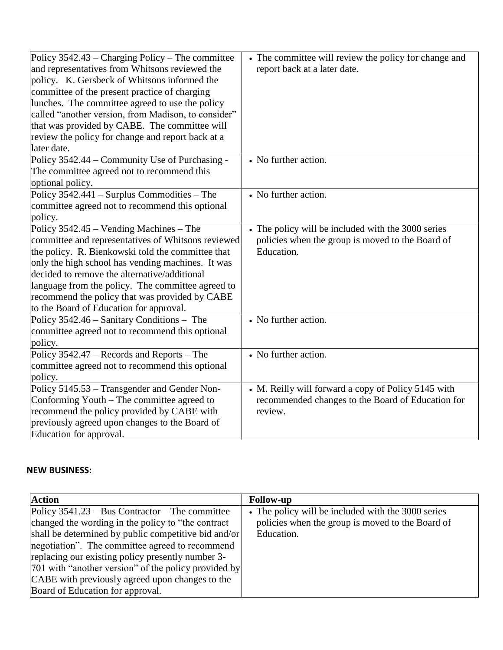| Policy 3542.43 – Charging Policy – The committee    | • The committee will review the policy for change and |
|-----------------------------------------------------|-------------------------------------------------------|
| and representatives from Whitsons reviewed the      | report back at a later date.                          |
| policy. K. Gersbeck of Whitsons informed the        |                                                       |
| committee of the present practice of charging       |                                                       |
| lunches. The committee agreed to use the policy     |                                                       |
| called "another version, from Madison, to consider" |                                                       |
| that was provided by CABE. The committee will       |                                                       |
| review the policy for change and report back at a   |                                                       |
| later date.                                         |                                                       |
| Policy 3542.44 – Community Use of Purchasing -      | • No further action.                                  |
| The committee agreed not to recommend this          |                                                       |
| optional policy.                                    |                                                       |
| Policy $3542.441$ – Surplus Commodities – The       | • No further action.                                  |
| committee agreed not to recommend this optional     |                                                       |
| policy.                                             |                                                       |
| Policy 3542.45 – Vending Machines – The             | • The policy will be included with the 3000 series    |
| committee and representatives of Whitsons reviewed  | policies when the group is moved to the Board of      |
| the policy. R. Bienkowski told the committee that   | Education.                                            |
| only the high school has vending machines. It was   |                                                       |
| decided to remove the alternative/additional        |                                                       |
| language from the policy. The committee agreed to   |                                                       |
| recommend the policy that was provided by CABE      |                                                       |
| to the Board of Education for approval.             |                                                       |
| Policy 3542.46 – Sanitary Conditions – The          | • No further action.                                  |
| committee agreed not to recommend this optional     |                                                       |
| policy.                                             |                                                       |
| Policy 3542.47 – Records and Reports – The          | • No further action.                                  |
| committee agreed not to recommend this optional     |                                                       |
| policy.                                             |                                                       |
| Policy 5145.53 - Transgender and Gender Non-        | • M. Reilly will forward a copy of Policy 5145 with   |
| Conforming Youth – The committee agreed to          | recommended changes to the Board of Education for     |
| recommend the policy provided by CABE with          | review.                                               |
| previously agreed upon changes to the Board of      |                                                       |
| Education for approval.                             |                                                       |

## **NEW BUSINESS:**

| <b>Action</b>                                          | <b>Follow-up</b>                                   |
|--------------------------------------------------------|----------------------------------------------------|
| Policy $3541.23 - Bus$ Contractor – The committee      | • The policy will be included with the 3000 series |
| changed the wording in the policy to "the contract"    | policies when the group is moved to the Board of   |
| shall be determined by public competitive bid and/or   | Education.                                         |
| negotiation". The committee agreed to recommend        |                                                    |
| replacing our existing policy presently number 3-      |                                                    |
| [701 with "another version" of the policy provided by] |                                                    |
| CABE with previously agreed upon changes to the        |                                                    |
| Board of Education for approval.                       |                                                    |